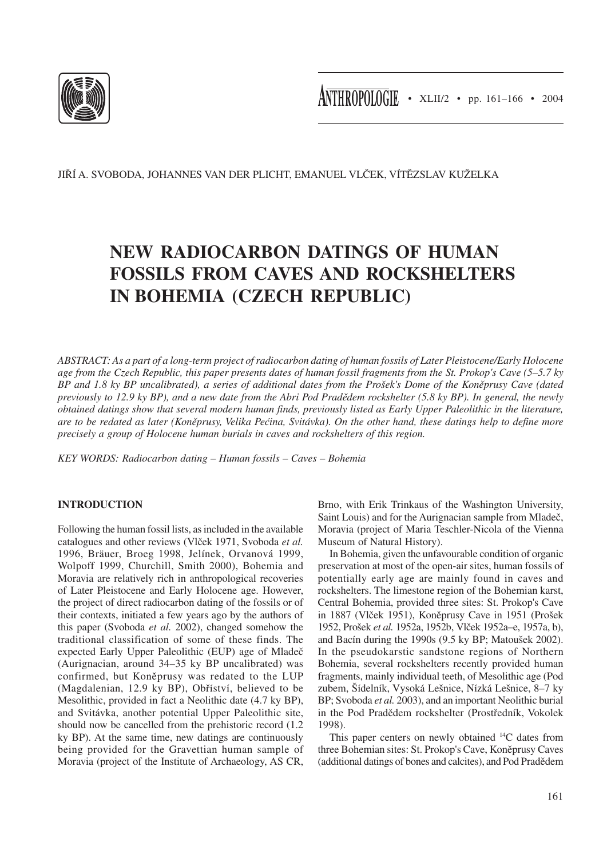

JIŘÍ A. SVOBODA, JOHANNES VAN DER PLICHT, EMANUEL VLČEK, VÍTĚZSLAV KUŽELKA

# **NEW RADIOCARBON DATINGS OF HUMAN FOSSILS FROM CAVES AND ROCKSHELTERS IN BOHEMIA (CZECH REPUBLIC)**

*ABSTRACT: As a part of a long-term project of radiocarbon dating of human fossils of Later Pleistocene/Early Holocene age from the Czech Republic, this paper presents dates of human fossil fragments from the St. Prokop's Cave (5–5.7 ky BP and 1.8 ky BP uncalibrated), a series of additional dates from the Prošek's Dome of the Koněprusy Cave (dated previously to 12.9 ky BP), and a new date from the Abri Pod Pradědem rockshelter (5.8 ky BP). In general, the newly obtained datings show that several modern human finds, previously listed as Early Upper Paleolithic in the literature, are to be redated as later (Koněprusy, Velika Pećina, Svitávka). On the other hand, these datings help to define more precisely a group of Holocene human burials in caves and rockshelters of this region.*

*KEY WORDS: Radiocarbon dating – Human fossils – Caves – Bohemia*

## **INTRODUCTION**

Following the human fossil lists, as included in the available catalogues and other reviews (Vlček 1971, Svoboda *et al.* 1996, Bräuer, Broeg 1998, Jelínek, Orvanová 1999, Wolpoff 1999, Churchill, Smith 2000), Bohemia and Moravia are relatively rich in anthropological recoveries of Later Pleistocene and Early Holocene age. However, the project of direct radiocarbon dating of the fossils or of their contexts, initiated a few years ago by the authors of this paper (Svoboda *et al.* 2002), changed somehow the traditional classification of some of these finds. The expected Early Upper Paleolithic (EUP) age of Mladeč (Aurignacian, around 34–35 ky BP uncalibrated) was confirmed, but Koněprusy was redated to the LUP (Magdalenian, 12.9 ky BP), Obříství, believed to be Mesolithic, provided in fact a Neolithic date (4.7 ky BP), and Svitávka, another potential Upper Paleolithic site, should now be cancelled from the prehistoric record (1.2 ky BP). At the same time, new datings are continuously being provided for the Gravettian human sample of Moravia (project of the Institute of Archaeology, AS CR,

Brno, with Erik Trinkaus of the Washington University, Saint Louis) and for the Aurignacian sample from Mladeč, Moravia (project of Maria Teschler-Nicola of the Vienna Museum of Natural History).

In Bohemia, given the unfavourable condition of organic preservation at most of the open-air sites, human fossils of potentially early age are mainly found in caves and rockshelters. The limestone region of the Bohemian karst, Central Bohemia, provided three sites: St. Prokop's Cave in 1887 (Vlček 1951), Koněprusy Cave in 1951 (Prošek 1952, Prošek *et al.* 1952a, 1952b, Vlček 1952a–e, 1957a, b), and Bacín during the 1990s (9.5 ky BP; Matoušek 2002). In the pseudokarstic sandstone regions of Northern Bohemia, several rockshelters recently provided human fragments, mainly individual teeth, of Mesolithic age (Pod zubem, Šídelník, Vysoká Lešnice, Nízká Lešnice, 8–7 ky BP; Svoboda *et al.* 2003), and an important Neolithic burial in the Pod Pradědem rockshelter (Prostředník, Vokolek 1998).

This paper centers on newly obtained 14C dates from three Bohemian sites: St. Prokop's Cave, Koněprusy Caves (additional datings of bones and calcites), and Pod Pradědem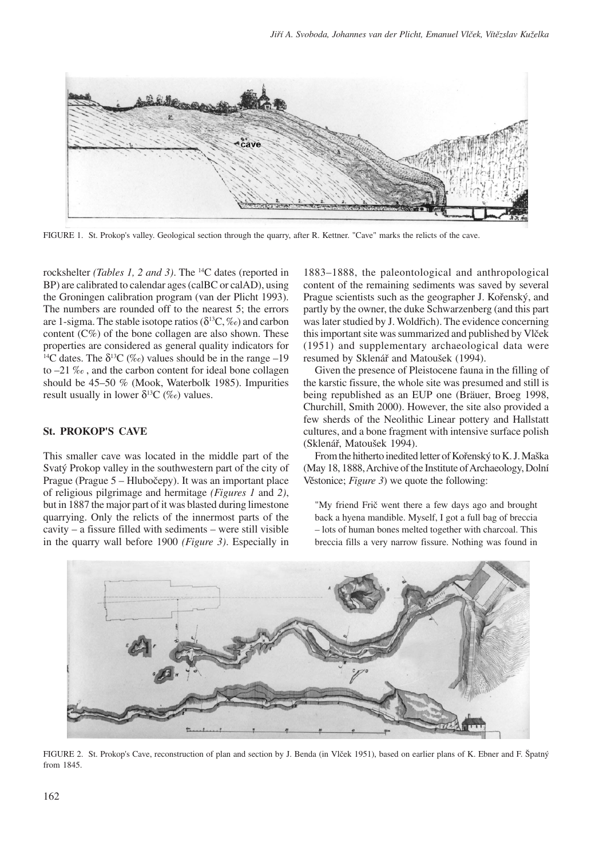

FIGURE 1. St. Prokop's valley. Geological section through the quarry, after R. Kettner. "Cave" marks the relicts of the cave.

rockshelter *(Tables 1, 2 and 3)*. The 14C dates (reported in BP) are calibrated to calendar ages (calBC or calAD), using the Groningen calibration program (van der Plicht 1993). The numbers are rounded off to the nearest 5; the errors are 1-sigma. The stable isotope ratios ( $\delta^{13}C, \%$ ) and carbon content  $(C\%)$  of the bone collagen are also shown. These properties are considered as general quality indicators for <sup>14</sup>C dates. The  $\delta^{13}C$  (%o) values should be in the range –19 to –21 ‰ , and the carbon content for ideal bone collagen should be 45–50 % (Mook, Waterbolk 1985). Impurities result usually in lower  $\delta^{13}C$  (‰) values.

### **St. PROKOP'S CAVE**

This smaller cave was located in the middle part of the Svatý Prokop valley in the southwestern part of the city of Prague (Prague 5 – Hlubočepy). It was an important place of religious pilgrimage and hermitage *(Figures 1* and *2)*, but in 1887 the major part of it was blasted during limestone quarrying. Only the relicts of the innermost parts of the cavity – a fissure filled with sediments – were still visible in the quarry wall before 1900 *(Figure 3)*. Especially in

1883–1888, the paleontological and anthropological content of the remaining sediments was saved by several Prague scientists such as the geographer J. Kořenský, and partly by the owner, the duke Schwarzenberg (and this part was later studied by J. Woldřich). The evidence concerning this important site was summarized and published by Vlček (1951) and supplementary archaeological data were resumed by Sklenář and Matoušek (1994).

Given the presence of Pleistocene fauna in the filling of the karstic fissure, the whole site was presumed and still is being republished as an EUP one (Bräuer, Broeg 1998, Churchill, Smith 2000). However, the site also provided a few sherds of the Neolithic Linear pottery and Hallstatt cultures, and a bone fragment with intensive surface polish (Sklenář, Matoušek 1994).

From the hitherto inedited letter of Kořenský to K. J. Maška (May 18, 1888, Archive of the Institute of Archaeology, Dolní Věstonice; *Figure 3*) we quote the following:

"My friend Frič went there a few days ago and brought back a hyena mandible. Myself, I got a full bag of breccia – lots of human bones melted together with charcoal. This breccia fills a very narrow fissure. Nothing was found in



FIGURE 2. St. Prokop's Cave, reconstruction of plan and section by J. Benda (in Vlček 1951), based on earlier plans of K. Ebner and F. Špatný from 1845.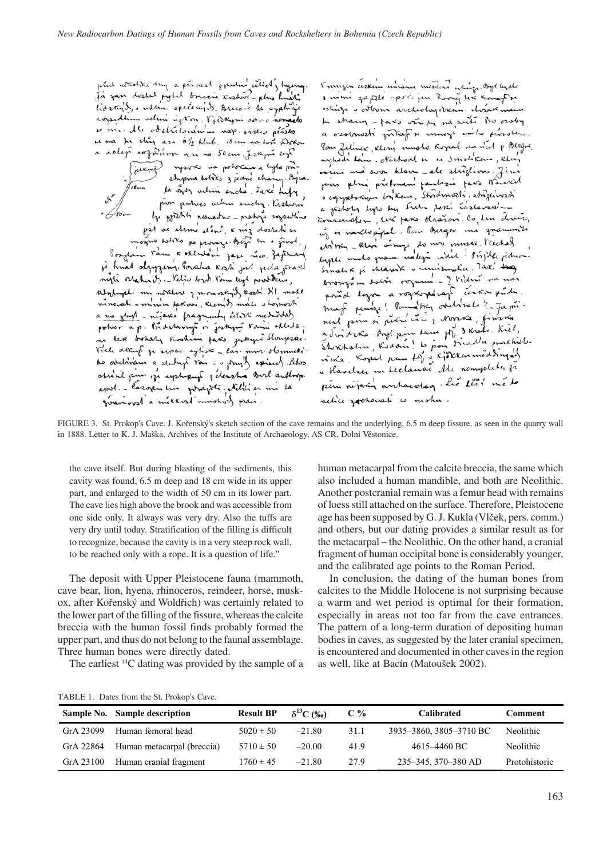prid novohka dry a príncel znední celich, hycny<br>Já zan dostal pytel brecei Koshove-plno hudli<br>liderajl, s nktín eperených, Breceic ta uzplnýc rozsidlim velini izkon. Vstekyni sano nemark u me de obstritoramm nap protes prises at ma for string asi 61/2 klub. 18 cm na hora indokon a doleg rozzimom ari na 50 cm. į rapi egl ) sysons na potokne a lyta pô-<br>chypna totiks z jedne chany. Byta. la sign velim sucha . Jake hipy pour podres velmi enchy. Krshem by godith resuative - mating systems możno włóte po pracy bież m o żivot,<br>Posztani Pom R Alnetul zasi nico zazoman. si hnad obygging. Poraha kosti jest jula praed night oration of . - Vilice bords Form legt portains, stylingte mi noster 7 moras snift kost Sil. mote<br>vinarati - minim parvi, kten 9 mars stornosti a ma zbyl - níjaví pragmenty číter nedodky potror a p. Bridstanyt in jestige rain atlata.<br>ne have brhaly versheim favo gatayer slovepske.<br>Vrede doverf ze acpar wytire - las. mus. olonnekito atchivan a electrical ran is princip exised the oblasil pin 12 uphrpup 3 densha Burl author. apol. - lazopin Lui goraziti. Netici si mi la givanious/ a micked immortized prace.

V muzeu cerkim miame messive whize byl high a mimi gapite aporti jun. Roomi ter konoghin whize - others archeologikum. Arak man In strary parts vindy na suite on osoby a osobnosti příkaz se mnoh svého působení. Pan felmer stery mushs Royal na n'at p. Blegrs, micheds Lem. Nished in ac Smalikan, Kloy ovem må soon blave - ale striglion. Jim pins plui pichnani fautosie para Marral s egyptorym by Kem. Stridmocki, striginach a jestoty lyto by tube peri castevaring Konserveton, sur para Kráson. Co len drun, no escribente de la facta de la fonda de la financia de ag et naice paper. There exercise the ficehals inger mars process various . Tak' bag.<br>Irvansmen solte request . I hidre na non mag puise! Pannaber overliest ?- Ja primaj puise! Touring nouvelles 2 fam.<br>nest prin si perfuit vien 2 Nonra finska<br>a Juiot Ka Angl pin tam pp 3 Krate. Kiel,<br>Shretolin, Kodon! to poor triadle prochile-<br>rika. Kopel pin to 3 Kjökkenmöddingals pen népari archaeolog. Les tess méto relice rocherati co mohu.

FIGURE 3. St. Prokop's Cave. J. Kořenský's sketch section of the cave remains and the underlying, 6.5 m deep fissure, as seen in the quarry wall in 1888. Letter to K. J. Maška, Archives of the Institute of Archaeology, AS CR, Dolní Věstonice.

the cave itself. But during blasting of the sediments, this cavity was found, 6.5 m deep and 18 cm wide in its upper part, and enlarged to the width of 50 cm in its lower part. The cave lies high above the brook and was accessible from one side only. It always was very dry. Also the tuffs are very dry until today. Stratification of the filling is difficult to recognize, because the cavity is in a very steep rock wall, to be reached only with a rope. It is a question of life."

The deposit with Upper Pleistocene fauna (mammoth, cave bear, lion, hyena, rhinoceros, reindeer, horse, muskox, after Kořenský and Woldřich) was certainly related to the lower part of the filling of the fissure, whereas the calcite breccia with the human fossil finds probably formed the upper part, and thus do not belong to the faunal assemblage. Three human bones were directly dated.

The earliest 14C dating was provided by the sample of a

human metacarpal from the calcite breccia, the same which also included a human mandible, and both are Neolithic. Another postcranial remain was a femur head with remains of loess still attached on the surface. Therefore, Pleistocene age has been supposed by G. J. Kukla (Vlček, pers. comm.) and others, but our dating provides a similar result as for the metacarpal – the Neolithic. On the other hand, a cranial fragment of human occipital bone is considerably younger, and the calibrated age points to the Roman Period.

In conclusion, the dating of the human bones from calcites to the Middle Holocene is not surprising because a warm and wet period is optimal for their formation, especially in areas not too far from the cave entrances. The pattern of a long-term duration of depositing human bodies in caves, as suggested by the later cranial specimen, is encountered and documented in other caves in the region as well, like at Bacín (Matoušek 2002).

|  | TABLE 1. Dates from the St. Prokop's Cave. |  |  |  |  |  |  |
|--|--------------------------------------------|--|--|--|--|--|--|
|--|--------------------------------------------|--|--|--|--|--|--|

|           | Sample No. Sample description | <b>Result BP</b> | $\delta^{13}C$ (%) | $C\%$ | <b>Calibrated</b>       | Comment          |
|-----------|-------------------------------|------------------|--------------------|-------|-------------------------|------------------|
| GrA 23099 | Human femoral head            | $5020 \pm 50$    | $-21.80$           | 31.1  | 3935–3860, 3805–3710 BC | Neolithic        |
| GrA 22864 | Human metacarpal (breccia)    | $5710 \pm 50$    | $-20.00$           | 41.9  | 4615–4460 BC            | <b>Neolithic</b> |
| GrA 23100 | Human cranial fragment        | $1760 \pm 45$    | $-21.80$           | 27.9  | 235–345, 370–380 AD     | Protohistoric    |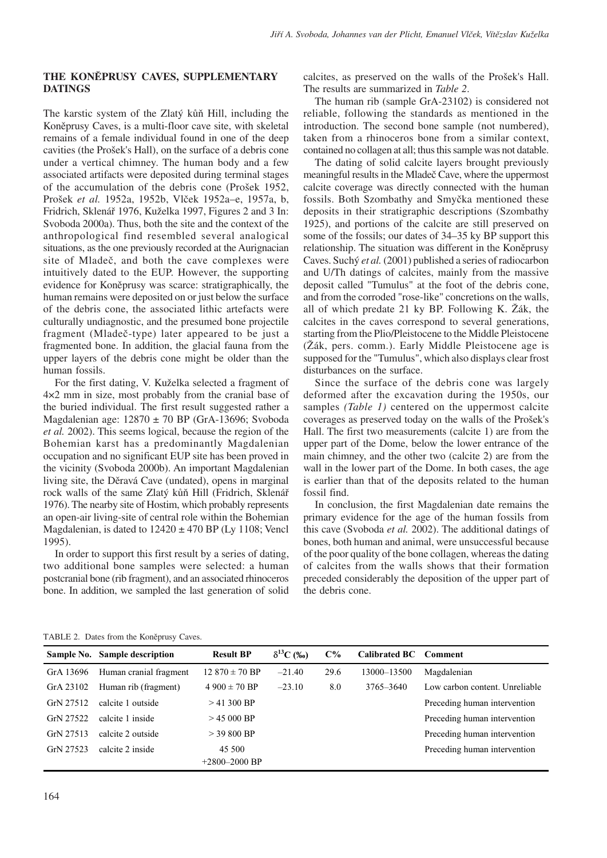### **THE KONĚPRUSY CAVES, SUPPLEMENTARY DATINGS**

The karstic system of the Zlatý kůň Hill, including the Koněprusy Caves, is a multi-floor cave site, with skeletal remains of a female individual found in one of the deep cavities (the Prošek's Hall), on the surface of a debris cone under a vertical chimney. The human body and a few associated artifacts were deposited during terminal stages of the accumulation of the debris cone (Prošek 1952, Prošek *et al.* 1952a, 1952b, Vlček 1952a–e, 1957a, b, Fridrich, Sklenář 1976, Kuželka 1997, Figures 2 and 3 In: Svoboda 2000a). Thus, both the site and the context of the anthropological find resembled several analogical situations, as the one previously recorded at the Aurignacian site of Mladeč, and both the cave complexes were intuitively dated to the EUP. However, the supporting evidence for Koněprusy was scarce: stratigraphically, the human remains were deposited on or just below the surface of the debris cone, the associated lithic artefacts were culturally undiagnostic, and the presumed bone projectile fragment (Mladeč-type) later appeared to be just a fragmented bone. In addition, the glacial fauna from the upper layers of the debris cone might be older than the human fossils.

For the first dating, V. Kuželka selected a fragment of 4×2 mm in size, most probably from the cranial base of the buried individual. The first result suggested rather a Magdalenian age: 12870 ± 70 BP (GrA-13696; Svoboda *et al.* 2002). This seems logical, because the region of the Bohemian karst has a predominantly Magdalenian occupation and no significant EUP site has been proved in the vicinity (Svoboda 2000b). An important Magdalenian living site, the Děravá Cave (undated), opens in marginal rock walls of the same Zlatý kůň Hill (Fridrich, Sklenář 1976). The nearby site of Hostim, which probably represents an open-air living-site of central role within the Bohemian Magdalenian, is dated to  $12420 \pm 470$  BP (Ly 1108; Vencl 1995).

In order to support this first result by a series of dating, two additional bone samples were selected: a human postcranial bone (rib fragment), and an associated rhinoceros bone. In addition, we sampled the last generation of solid calcites, as preserved on the walls of the Prošek's Hall. The results are summarized in *Table 2*.

The human rib (sample GrA-23102) is considered not reliable, following the standards as mentioned in the introduction. The second bone sample (not numbered), taken from a rhinoceros bone from a similar context, contained no collagen at all; thus this sample was not datable.

The dating of solid calcite layers brought previously meaningful results in the Mladeč Cave, where the uppermost calcite coverage was directly connected with the human fossils. Both Szombathy and Smyčka mentioned these deposits in their stratigraphic descriptions (Szombathy 1925), and portions of the calcite are still preserved on some of the fossils; our dates of 34–35 ky BP support this relationship. The situation was different in the Koněprusy Caves. Suchý *et al.* (2001) published a series of radiocarbon and U/Th datings of calcites, mainly from the massive deposit called "Tumulus" at the foot of the debris cone, and from the corroded "rose-like" concretions on the walls, all of which predate 21 ky BP. Following K. Žák, the calcites in the caves correspond to several generations, starting from the Plio/Pleistocene to the Middle Pleistocene (Žák, pers. comm.). Early Middle Pleistocene age is supposed for the "Tumulus", which also displays clear frost disturbances on the surface.

Since the surface of the debris cone was largely deformed after the excavation during the 1950s, our samples *(Table 1)* centered on the uppermost calcite coverages as preserved today on the walls of the Prošek's Hall. The first two measurements (calcite 1) are from the upper part of the Dome, below the lower entrance of the main chimney, and the other two (calcite 2) are from the wall in the lower part of the Dome. In both cases, the age is earlier than that of the deposits related to the human fossil find.

In conclusion, the first Magdalenian date remains the primary evidence for the age of the human fossils from this cave (Svoboda *et al.* 2002). The additional datings of bones, both human and animal, were unsuccessful because of the poor quality of the bone collagen, whereas the dating of calcites from the walls shows that their formation preceded considerably the deposition of the upper part of the debris cone.

|  |  |  |  | TABLE 2. Dates from the Koněprusy Caves. |  |
|--|--|--|--|------------------------------------------|--|
|--|--|--|--|------------------------------------------|--|

|           | Sample No. Sample description | <b>Result BP</b>   | $\delta^{13}C$ (%o) | $C\%$ | Calibrated BC Comment |                                |
|-----------|-------------------------------|--------------------|---------------------|-------|-----------------------|--------------------------------|
| GrA 13696 | Human cranial fragment        | $12.870 \pm 70$ BP | $-21.40$            | 29.6  | 13000-13500           | Magdalenian                    |
| GrA 23102 | Human rib (fragment)          | $4900 \pm 70$ BP   | $-23.10$            | 8.0   | 3765-3640             | Low carbon content. Unreliable |
| GrN 27512 | calcite 1 outside             | $> 41,300$ BP      |                     |       |                       | Preceding human intervention   |
| GrN 27522 | calcite 1 inside              | $> 45,000$ BP      |                     |       |                       | Preceding human intervention   |
| GrN 27513 | calcite 2 outside             | $>$ 39 800 BP      |                     |       |                       | Preceding human intervention   |
| GrN 27523 | calcite 2 inside              | 45 500             |                     |       |                       | Preceding human intervention   |
|           |                               | $+2800 - 2000$ BP  |                     |       |                       |                                |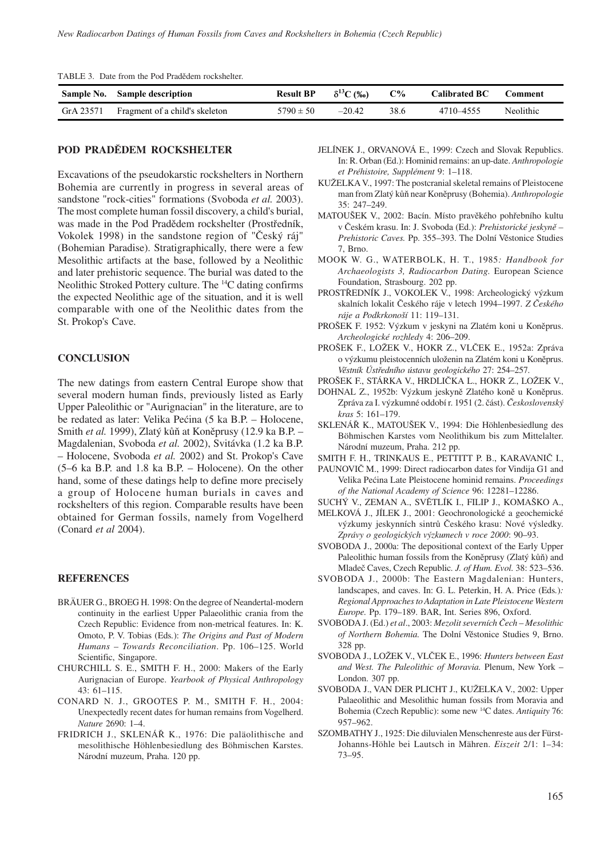|           | Sample No. Sample description  | <b>Result BP</b> | $\delta^{13}C$ (%o) | $C\%$ | <b>Calibrated BC</b> | Comment   |  |
|-----------|--------------------------------|------------------|---------------------|-------|----------------------|-----------|--|
| GrA 23571 | Fragment of a child's skeleton | $5790 \pm 50$    | $-20.42$            | 38.6  | 4710 - 4555          | Neolithic |  |

TABLE 3. Date from the Pod Pradědem rockshelter.

#### **POD PRADĚDEM ROCKSHELTER**

Excavations of the pseudokarstic rockshelters in Northern Bohemia are currently in progress in several areas of sandstone "rock-cities" formations (Svoboda *et al.* 2003). The most complete human fossil discovery, a child's burial, was made in the Pod Pradědem rockshelter (Prostředník, Vokolek 1998) in the sandstone region of "Český ráj" (Bohemian Paradise). Stratigraphically, there were a few Mesolithic artifacts at the base, followed by a Neolithic and later prehistoric sequence. The burial was dated to the Neolithic Stroked Pottery culture. The 14C dating confirms the expected Neolithic age of the situation, and it is well comparable with one of the Neolithic dates from the St. Prokop's Cave.

### **CONCLUSION**

The new datings from eastern Central Europe show that several modern human finds, previously listed as Early Upper Paleolithic or "Aurignacian" in the literature, are to be redated as later: Velika Pećina (5 ka B.P. – Holocene, Smith *et al.* 1999), Zlatý kůň at Koněprusy (12.9 ka B.P. – Magdalenian, Svoboda *et al.* 2002), Svitávka (1.2 ka B.P. – Holocene, Svoboda *et al.* 2002) and St. Prokop's Cave (5–6 ka B.P. and 1.8 ka B.P. – Holocene). On the other hand, some of these datings help to define more precisely a group of Holocene human burials in caves and rockshelters of this region. Comparable results have been obtained for German fossils, namely from Vogelherd (Conard *et al* 2004).

#### **REFERENCES**

- BRÄUER G., BROEG H. 1998: On the degree of Neandertal-modern continuity in the earliest Upper Palaeolithic crania from the Czech Republic: Evidence from non-metrical features. In: K. Omoto, P. V. Tobias (Eds*.*): *The Origins and Past of Modern Humans – Towards Reconciliation*. Pp. 106–125. World Scientific, Singapore.
- CHURCHILL S. E., SMITH F. H., 2000: Makers of the Early Aurignacian of Europe. *Yearbook of Physical Anthropology* 43: 61–115.
- CONARD N. J., GROOTES P. M., SMITH F. H., 2004: Unexpectedly recent dates for human remains from Vogelherd. *Nature* 2690: 1–4.
- FRIDRICH J., SKLENÁŘ K., 1976: Die paläolithische and mesolithische Höhlenbesiedlung des Böhmischen Karstes. Národní muzeum, Praha. 120 pp.
- JELÍNEK J., ORVANOVÁ E., 1999: Czech and Slovak Republics. In: R. Orban (Ed.): Hominid remains: an up-date. *Anthropologie et Préhistoire, Supplément* 9: 1–118.
- KUŽELKA V., 1997: The postcranial skeletal remains of Pleistocene man from Zlatý kůň near Koněprusy (Bohemia). *Anthropologie* 35: 247–249.
- MATOUŠEK V., 2002: Bacín. Místo pravěkého pohřebního kultu v Českém krasu. In: J. Svoboda (Ed.): *Prehistorické jeskyně – Prehistoric Caves.* Pp. 355–393. The Dolní Věstonice Studies 7, Brno.
- MOOK W. G., WATERBOLK, H. T., 1985*: Handbook for Archaeologists 3, Radiocarbon Dating.* European Science Foundation, Strasbourg. 202 pp.
- PROSTŘEDNÍK J., VOKOLEK V., 1998: Archeologický výzkum skalních lokalit Českého ráje v letech 1994–1997. *Z Českého ráje a Podkrkonoší* 11: 119–131.
- PROŠEK F. 1952: Výzkum v jeskyni na Zlatém koni u Koněprus. *Archeologické rozhledy* 4: 206–209.
- PROŠEK F., LOŽEK V., HOKR Z., VLČEK E., 1952a: Zpráva o výzkumu pleistocenních uloženin na Zlatém koni u Koněprus. *Věstník Ústředního ústavu geologického* 27: 254–257.
- PROŠEK F., STÁRKA V., HRDLIČKA L., HOKR Z., LOŽEK V.,
- DOHNAL Z., 1952b: Výzkum jeskyně Zlatého koně u Koněprus. Zpráva za I. výzkumné oddobí r. 1951 (2. část). *Československý kras* 5: 161–179.
- SKLENÁŘ K., MATOUŠEK V., 1994: Die Höhlenbesiedlung des Böhmischen Karstes vom Neolithikum bis zum Mittelalter. Národní muzeum, Praha. 212 pp.
- SMITH F. H., TRINKAUS E., PETTITT P. B., KARAVANIČ I.,
- PAUNOVIČ M., 1999: Direct radiocarbon dates for Vindija G1 and Velika Pećina Late Pleistocene hominid remains. *Proceedings of the National Academy of Science* 96: 12281–12286.
- SUCHÝ V., ZEMAN A., SVĚTLÍK I., FILIP J., KOMAŠKO A.,
- MELKOVÁ J., JÍLEK J., 2001: Geochronologické a geochemické výzkumy jeskynních sintrů Českého krasu: Nové výsledky. *Zprávy o geologických výzkumech v roce 2000*: 90–93.
- SVOBODA J., 2000a: The depositional context of the Early Upper Paleolithic human fossils from the Koněprusy (Zlatý kůň) and Mladeč Caves, Czech Republic*. J. of Hum. Evol.* 38: 523–536.
- SVOBODA J., 2000b: The Eastern Magdalenian: Hunters, landscapes, and caves. In: G. L. Peterkin, H. A. Price (Eds*.*)*: Regional Approaches to Adaptation in Late Pleistocene Western Europe.* Pp. 179–189. BAR, Int. Series 896, Oxford.
- SVOBODA J. (Ed.) *et al*., 2003: *Mezolit severních Čech Mesolithic of Northern Bohemia.* The Dolní Věstonice Studies 9, Brno. 328 pp.
- SVOBODA J., LOŽEK V., VLČEK E., 1996: *Hunters between East and West. The Paleolithic of Moravia.* Plenum, New York – London. 307 pp.
- SVOBODA J., VAN DER PLICHT J., KUŽELKA V., 2002: Upper Palaeolithic and Mesolithic human fossils from Moravia and Bohemia (Czech Republic): some new 14C dates. *Antiquity* 76: 957–962.
- SZOMBATHY J., 1925: Die diluvialen Menschenreste aus der Fürst-Johanns-Höhle bei Lautsch in Mähren. *Eiszeit* 2/1: 1–34: 73–95.